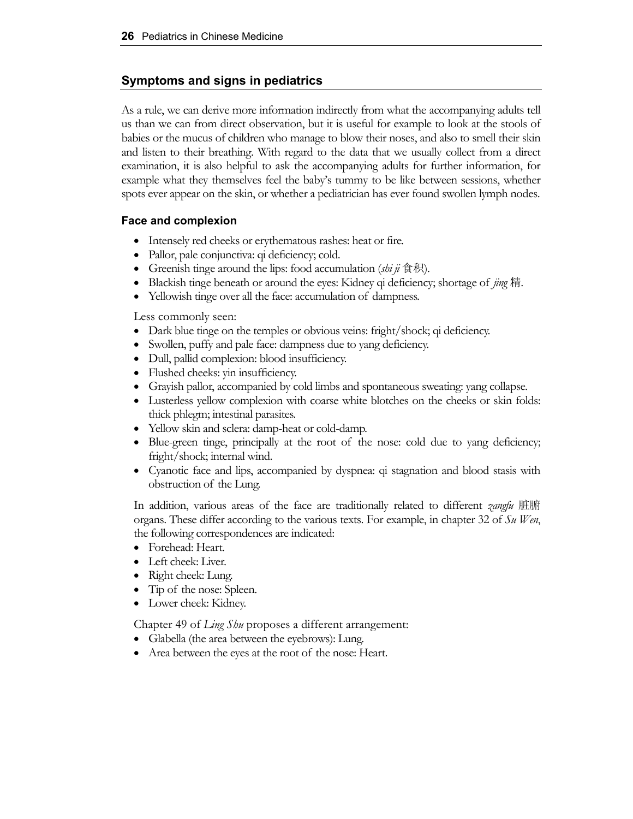### **Symptoms and signs in pediatrics**

As a rule, we can derive more information indirectly from what the accompanying adults tell us than we can from direct observation, but it is useful for example to look at the stools of babies or the mucus of children who manage to blow their noses, and also to smell their skin and listen to their breathing. With regard to the data that we usually collect from a direct examination, it is also helpful to ask the accompanying adults for further information, for example what they themselves feel the baby's tummy to be like between sessions, whether spots ever appear on the skin, or whether a pediatrician has ever found swollen lymph nodes.

### **Face and complexion**

- Intensely red cheeks or erythematous rashes: heat or fire.
- Pallor, pale conjunctiva: qi deficiency; cold.
- Greenish tinge around the lips: food accumulation (*shi ji* 食积).
- Blackish tinge beneath or around the eyes: Kidney qi deficiency; shortage of *jing* 精.
- Yellowish tinge over all the face: accumulation of dampness.

Less commonly seen:

- Dark blue tinge on the temples or obvious veins: fright/shock; qi deficiency.
- Swollen, puffy and pale face: dampness due to yang deficiency.
- Dull, pallid complexion: blood insufficiency.
- Flushed cheeks: yin insufficiency.
- Grayish pallor, accompanied by cold limbs and spontaneous sweating: yang collapse.
- Lusterless yellow complexion with coarse white blotches on the cheeks or skin folds: thick phlegm; intestinal parasites.
- Yellow skin and sclera: damp-heat or cold-damp.
- Blue-green tinge, principally at the root of the nose: cold due to yang deficiency; fright/shock; internal wind.
- Cyanotic face and lips, accompanied by dyspnea: qi stagnation and blood stasis with obstruction of the Lung.

In addition, various areas of the face are traditionally related to different *zangfu* 脏腑 organs. These differ according to the various texts. For example, in chapter 32 of *Su Wen*, the following correspondences are indicated:

- Forehead: Heart.
- Left cheek: Liver.
- Right cheek: Lung.
- Tip of the nose: Spleen.
- Lower cheek: Kidney.

Chapter 49 of *Ling Shu* proposes a different arrangement:

- Glabella (the area between the eyebrows): Lung.
- Area between the eyes at the root of the nose: Heart.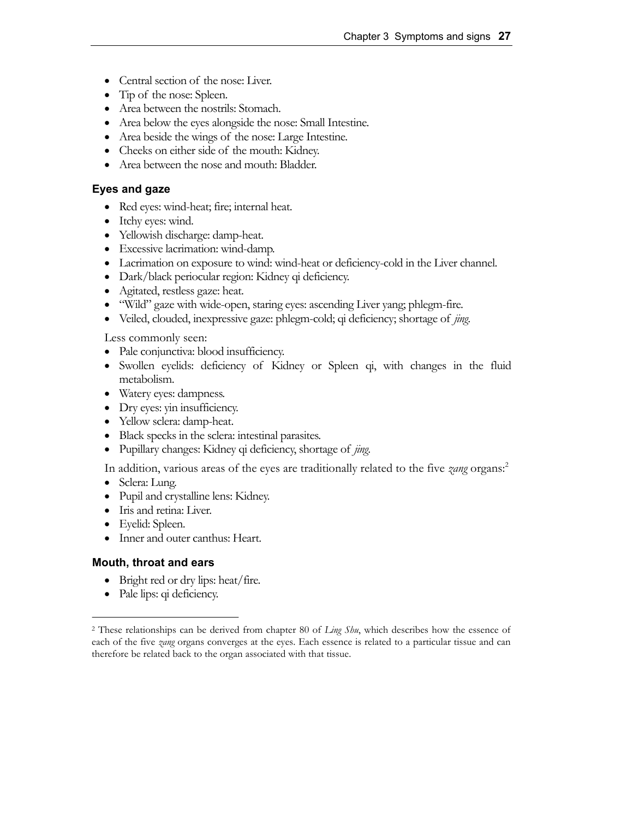- Central section of the nose: Liver.
- Tip of the nose: Spleen.
- Area between the nostrils: Stomach.
- Area below the eyes alongside the nose: Small Intestine.
- Area beside the wings of the nose: Large Intestine.
- Cheeks on either side of the mouth: Kidney.
- Area between the nose and mouth: Bladder.

#### **Eyes and gaze**

- Red eyes: wind-heat; fire; internal heat.
- Itchy eyes: wind.
- Yellowish discharge: damp-heat.
- Excessive lacrimation: wind-damp.
- Lacrimation on exposure to wind: wind-heat or deficiency-cold in the Liver channel.
- Dark/black periocular region: Kidney qi deficiency.
- Agitated, restless gaze: heat.
- "Wild" gaze with wide-open, staring eyes: ascending Liver yang; phlegm-fire.
- Veiled, clouded, inexpressive gaze: phlegm-cold; qi deficiency; shortage of *jing*.

Less commonly seen:

- Pale conjunctiva: blood insufficiency.
- Swollen eyelids: deficiency of Kidney or Spleen qi, with changes in the fluid metabolism.
- Watery eyes: dampness.
- Dry eyes: yin insufficiency.
- Yellow sclera: damp-heat.
- Black specks in the sclera: intestinal parasites.
- Pupillary changes: Kidney qi deficiency, shortage of *jing*.

In addition, various areas of the eyes are traditionally related to the five *zang* organs:2

- Sclera: Lung.
- Pupil and crystalline lens: Kidney.
- Iris and retina: Liver.
- Eyelid: Spleen.
- Inner and outer canthus: Heart.

#### **Mouth, throat and ears**

- Bright red or dry lips: heat/fire.
- Pale lips: qi deficiency.

<sup>2</sup> These relationships can be derived from chapter 80 of *Ling Shu*, which describes how the essence of each of the five *zang* organs converges at the eyes. Each essence is related to a particular tissue and can therefore be related back to the organ associated with that tissue.